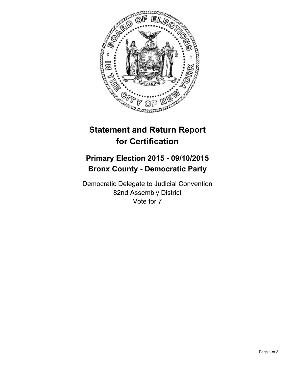

## **Statement and Return Report for Certification**

## **Primary Election 2015 - 09/10/2015 Bronx County - Democratic Party**

Democratic Delegate to Judicial Convention 82nd Assembly District Vote for 7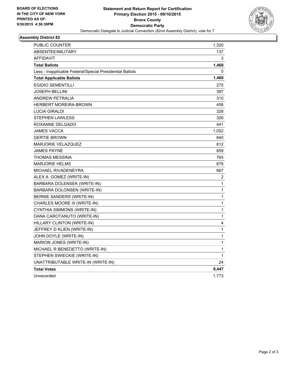

## **Assembly District 82**

| PUBLIC COUNTER                                           | 1,320       |
|----------------------------------------------------------|-------------|
| ABSENTEE/MILITARY                                        | 137         |
| <b>AFFIDAVIT</b>                                         | 3           |
| <b>Total Ballots</b>                                     | 1,460       |
| Less - Inapplicable Federal/Special Presidential Ballots | 0           |
| <b>Total Applicable Ballots</b>                          | 1,460       |
| <b>EGIDIO SEMENTILLI</b>                                 | 275         |
| <b>JOSEPH BELLINI</b>                                    | 397         |
| <b>ANDREW PETRALIA</b>                                   | 310         |
| <b>HERBERT MOREIRA-BROWN</b>                             | 458         |
| <b>LUCIA GIRALDI</b>                                     | 328         |
| <b>STEPHEN LAWLESS</b>                                   | 326         |
| ROXANNE DELGADO                                          | 441         |
| <b>JAMES VACCA</b>                                       | 1,052       |
| <b>GERTIE BROWN</b>                                      | 840         |
| <b>MARJORIE VELAZQUEZ</b>                                | 812         |
| <b>JAMES PAYNE</b>                                       | 859         |
| THOMAS MESSINA                                           | 765         |
| <b>MARJORIE HELMS</b>                                    | 876         |
| MICHAEL RIVADENEYRA                                      | 667         |
| ALEX A. GOMEZ (WRITE-IN)                                 | 2           |
| BARBARA DOLENSEK (WRITE-IN)                              | 1           |
| BARBARA DOLONSEN (WRITE-IN)                              | 1           |
| BERNIE SANDERS (WRITE-IN)                                | 1           |
| CHARLES MOORE III (WRITE-IN)                             | 1           |
| CYNTHIA SIMMONS (WRITE-IN)                               | 1           |
| DANA CAROTANUTO (WRITE-IN)                               | 1           |
| HILLARY CLINTON (WRITE-IN)                               | 4           |
| JEFFREY D KLIEN (WRITE-IN)                               | 1           |
| JOHN DOYLE (WRITE-IN)                                    | 1           |
| MARION JONES (WRITE-IN)                                  | $\mathbf 1$ |
| MICHAEL R BENEDETTO (WRITE-IN)                           | 1           |
| STEPHEN SWIECKIE (WRITE-IN)                              | 1           |
| UNATTRIBUTABLE WRITE-IN (WRITE-IN)                       | 24          |
| <b>Total Votes</b>                                       | 8,447       |
| Unrecorded                                               | 1,773       |